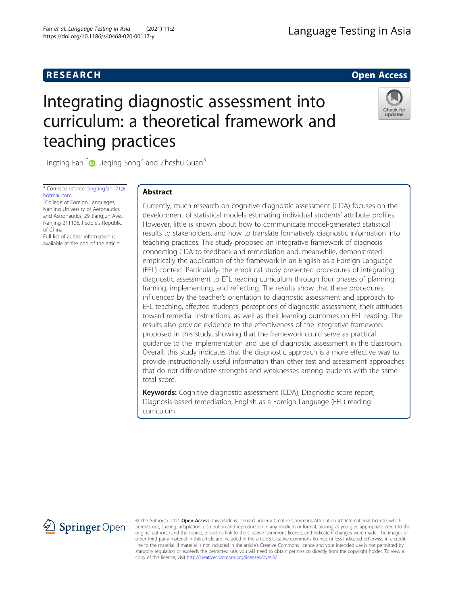# **RESEARCH RESEARCH CONSUMING ACCESS**

# Integrating diagnostic assessment into curriculum: a theoretical framework and teaching practices



Tingting Fan<sup>1[\\*](https://orcid.org/0000-0002-5631-3001)</sup> $\bullet$ , Jieqing Song<sup>2</sup> and Zheshu Guan<sup>3</sup>

\* Correspondence: [tingtingfan121@](mailto:tingtingfan121@hotmail.com) [hotmail.com](mailto:tingtingfan121@hotmail.com)

<sup>1</sup>College of Foreign Languages, Nanjing University of Aeronautics and Astronautics, 29 Jiangjun Ave., Nanjing 211106, People's Republic of China

Full list of author information is available at the end of the article

# Abstract

Currently, much research on cognitive diagnostic assessment (CDA) focuses on the development of statistical models estimating individual students' attribute profiles. However, little is known about how to communicate model-generated statistical results to stakeholders, and how to translate formatively diagnostic information into teaching practices. This study proposed an integrative framework of diagnosis connecting CDA to feedback and remediation and, meanwhile, demonstrated empirically the application of the framework in an English as a Foreign Language (EFL) context. Particularly, the empirical study presented procedures of integrating diagnostic assessment to EFL reading curriculum through four phases of planning, framing, implementing, and reflecting. The results show that these procedures, influenced by the teacher's orientation to diagnostic assessment and approach to EFL teaching, affected students' perceptions of diagnostic assessment, their attitudes toward remedial instructions, as well as their learning outcomes on EFL reading. The results also provide evidence to the effectiveness of the integrative framework proposed in this study, showing that the framework could serve as practical guidance to the implementation and use of diagnostic assessment in the classroom. Overall, this study indicates that the diagnostic approach is a more effective way to provide instructionally useful information than other test and assessment approaches that do not differentiate strengths and weaknesses among students with the same total score.

Keywords: Cognitive diagnostic assessment (CDA), Diagnostic score report, Diagnosis-based remediation, English as a Foreign Language (EFL) reading curriculum



© The Author(s). 2021 Open Access This article is licensed under a Creative Commons Attribution 4.0 International License, which permits use, sharing, adaptation, distribution and reproduction in any medium or format, as long as you give appropriate credit to the original author(s) and the source, provide a link to the Creative Commons licence, and indicate if changes were made. The images or other third party material in this article are included in the article's Creative Commons licence, unless indicated otherwise in a credit line to the material. If material is not included in the article's Creative Commons licence and your intended use is not permitted by statutory regulation or exceeds the permitted use, you will need to obtain permission directly from the copyright holder. To view a copy of this licence, visit <http://creativecommons.org/licenses/by/4.0/>.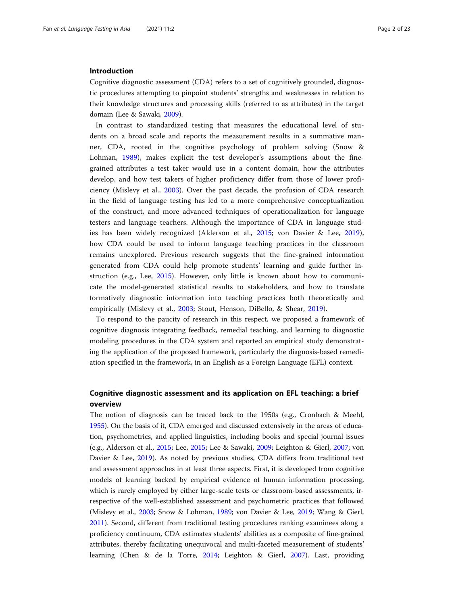# Introduction

Cognitive diagnostic assessment (CDA) refers to a set of cognitively grounded, diagnostic procedures attempting to pinpoint students' strengths and weaknesses in relation to their knowledge structures and processing skills (referred to as attributes) in the target domain (Lee & Sawaki, [2009\)](#page-21-0).

In contrast to standardized testing that measures the educational level of students on a broad scale and reports the measurement results in a summative manner, CDA, rooted in the cognitive psychology of problem solving (Snow & Lohman, [1989](#page-22-0)), makes explicit the test developer's assumptions about the finegrained attributes a test taker would use in a content domain, how the attributes develop, and how test takers of higher proficiency differ from those of lower proficiency (Mislevy et al., [2003](#page-21-0)). Over the past decade, the profusion of CDA research in the field of language testing has led to a more comprehensive conceptualization of the construct, and more advanced techniques of operationalization for language testers and language teachers. Although the importance of CDA in language studies has been widely recognized (Alderson et al., [2015;](#page-21-0) von Davier & Lee, [2019](#page-22-0)), how CDA could be used to inform language teaching practices in the classroom remains unexplored. Previous research suggests that the fine-grained information generated from CDA could help promote students' learning and guide further instruction (e.g., Lee, [2015](#page-21-0)). However, only little is known about how to communicate the model-generated statistical results to stakeholders, and how to translate formatively diagnostic information into teaching practices both theoretically and empirically (Mislevy et al., [2003;](#page-21-0) Stout, Henson, DiBello, & Shear, [2019](#page-22-0)).

To respond to the paucity of research in this respect, we proposed a framework of cognitive diagnosis integrating feedback, remedial teaching, and learning to diagnostic modeling procedures in the CDA system and reported an empirical study demonstrating the application of the proposed framework, particularly the diagnosis-based remediation specified in the framework, in an English as a Foreign Language (EFL) context.

# Cognitive diagnostic assessment and its application on EFL teaching: a brief overview

The notion of diagnosis can be traced back to the 1950s (e.g., Cronbach & Meehl, [1955](#page-21-0)). On the basis of it, CDA emerged and discussed extensively in the areas of education, psychometrics, and applied linguistics, including books and special journal issues (e.g., Alderson et al., [2015](#page-21-0); Lee, [2015;](#page-21-0) Lee & Sawaki, [2009](#page-21-0); Leighton & Gierl, [2007](#page-21-0); von Davier & Lee, [2019\)](#page-22-0). As noted by previous studies, CDA differs from traditional test and assessment approaches in at least three aspects. First, it is developed from cognitive models of learning backed by empirical evidence of human information processing, which is rarely employed by either large-scale tests or classroom-based assessments, irrespective of the well-established assessment and psychometric practices that followed (Mislevy et al., [2003;](#page-21-0) Snow & Lohman, [1989](#page-22-0); von Davier & Lee, [2019](#page-22-0); Wang & Gierl, [2011](#page-22-0)). Second, different from traditional testing procedures ranking examinees along a proficiency continuum, CDA estimates students' abilities as a composite of fine-grained attributes, thereby facilitating unequivocal and multi-faceted measurement of students' learning (Chen & de la Torre, [2014;](#page-21-0) Leighton & Gierl, [2007\)](#page-21-0). Last, providing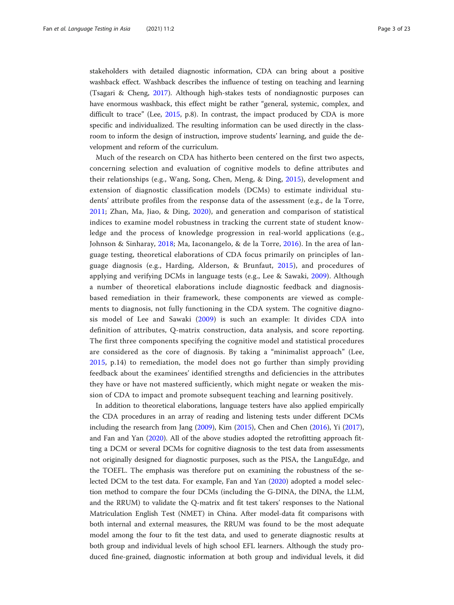stakeholders with detailed diagnostic information, CDA can bring about a positive washback effect. Washback describes the influence of testing on teaching and learning (Tsagari & Cheng, [2017\)](#page-22-0). Although high-stakes tests of nondiagnostic purposes can have enormous washback, this effect might be rather "general, systemic, complex, and difficult to trace" (Lee, [2015](#page-21-0), p.8). In contrast, the impact produced by CDA is more specific and individualized. The resulting information can be used directly in the classroom to inform the design of instruction, improve students' learning, and guide the development and reform of the curriculum.

Much of the research on CDA has hitherto been centered on the first two aspects, concerning selection and evaluation of cognitive models to define attributes and their relationships (e.g., Wang, Song, Chen, Meng, & Ding, [2015](#page-22-0)), development and extension of diagnostic classification models (DCMs) to estimate individual students' attribute profiles from the response data of the assessment (e.g., de la Torre, [2011](#page-21-0); Zhan, Ma, Jiao, & Ding, [2020\)](#page-22-0), and generation and comparison of statistical indices to examine model robustness in tracking the current state of student knowledge and the process of knowledge progression in real-world applications (e.g., Johnson & Sinharay, [2018;](#page-21-0) Ma, Iaconangelo, & de la Torre, [2016](#page-21-0)). In the area of language testing, theoretical elaborations of CDA focus primarily on principles of language diagnosis (e.g., Harding, Alderson, & Brunfaut, [2015\)](#page-21-0), and procedures of applying and verifying DCMs in language tests (e.g., Lee & Sawaki, [2009\)](#page-21-0). Although a number of theoretical elaborations include diagnostic feedback and diagnosisbased remediation in their framework, these components are viewed as complements to diagnosis, not fully functioning in the CDA system. The cognitive diagnosis model of Lee and Sawaki ([2009](#page-21-0)) is such an example: It divides CDA into definition of attributes, Q-matrix construction, data analysis, and score reporting. The first three components specifying the cognitive model and statistical procedures are considered as the core of diagnosis. By taking a "minimalist approach" (Lee, [2015](#page-21-0), p.14) to remediation, the model does not go further than simply providing feedback about the examinees' identified strengths and deficiencies in the attributes they have or have not mastered sufficiently, which might negate or weaken the mission of CDA to impact and promote subsequent teaching and learning positively.

In addition to theoretical elaborations, language testers have also applied empirically the CDA procedures in an array of reading and listening tests under different DCMs including the research from Jang ([2009](#page-21-0)), Kim ([2015](#page-21-0)), Chen and Chen ([2016](#page-21-0)), Yi ([2017](#page-22-0)), and Fan and Yan ([2020\)](#page-21-0). All of the above studies adopted the retrofitting approach fitting a DCM or several DCMs for cognitive diagnosis to the test data from assessments not originally designed for diagnostic purposes, such as the PISA, the LanguEdge, and the TOEFL. The emphasis was therefore put on examining the robustness of the selected DCM to the test data. For example, Fan and Yan ([2020](#page-21-0)) adopted a model selection method to compare the four DCMs (including the G-DINA, the DINA, the LLM, and the RRUM) to validate the Q-matrix and fit test takers' responses to the National Matriculation English Test (NMET) in China. After model-data fit comparisons with both internal and external measures, the RRUM was found to be the most adequate model among the four to fit the test data, and used to generate diagnostic results at both group and individual levels of high school EFL learners. Although the study produced fine-grained, diagnostic information at both group and individual levels, it did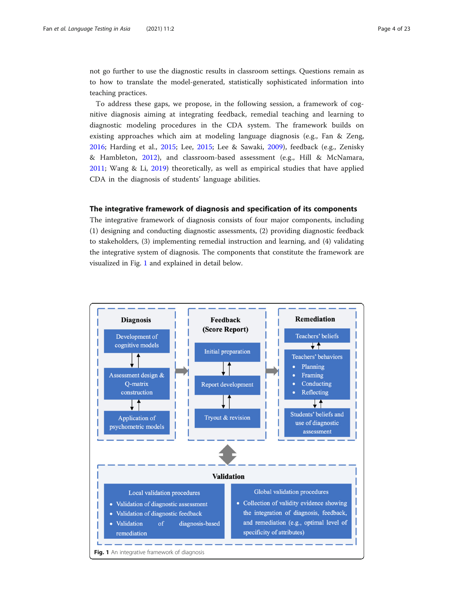not go further to use the diagnostic results in classroom settings. Questions remain as to how to translate the model-generated, statistically sophisticated information into teaching practices.

To address these gaps, we propose, in the following session, a framework of cognitive diagnosis aiming at integrating feedback, remedial teaching and learning to diagnostic modeling procedures in the CDA system. The framework builds on existing approaches which aim at modeling language diagnosis (e.g., Fan & Zeng, [2016;](#page-21-0) Harding et al., [2015;](#page-21-0) Lee, [2015;](#page-21-0) Lee & Sawaki, [2009](#page-21-0)), feedback (e.g., Zenisky & Hambleton, [2012\)](#page-22-0), and classroom-based assessment (e.g., Hill & McNamara, [2011;](#page-21-0) Wang & Li, [2019](#page-22-0)) theoretically, as well as empirical studies that have applied CDA in the diagnosis of students' language abilities.

# The integrative framework of diagnosis and specification of its components

The integrative framework of diagnosis consists of four major components, including (1) designing and conducting diagnostic assessments, (2) providing diagnostic feedback to stakeholders, (3) implementing remedial instruction and learning, and (4) validating the integrative system of diagnosis. The components that constitute the framework are visualized in Fig. 1 and explained in detail below.

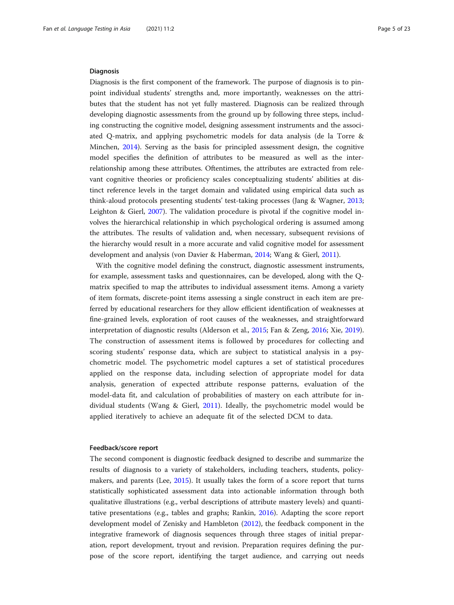### **Diagnosis**

Diagnosis is the first component of the framework. The purpose of diagnosis is to pinpoint individual students' strengths and, more importantly, weaknesses on the attributes that the student has not yet fully mastered. Diagnosis can be realized through developing diagnostic assessments from the ground up by following three steps, including constructing the cognitive model, designing assessment instruments and the associated Q-matrix, and applying psychometric models for data analysis (de la Torre & Minchen, [2014\)](#page-21-0). Serving as the basis for principled assessment design, the cognitive model specifies the definition of attributes to be measured as well as the interrelationship among these attributes. Oftentimes, the attributes are extracted from relevant cognitive theories or proficiency scales conceptualizing students' abilities at distinct reference levels in the target domain and validated using empirical data such as think-aloud protocols presenting students' test-taking processes (Jang & Wagner, [2013](#page-21-0); Leighton & Gierl, [2007\)](#page-21-0). The validation procedure is pivotal if the cognitive model involves the hierarchical relationship in which psychological ordering is assumed among the attributes. The results of validation and, when necessary, subsequent revisions of the hierarchy would result in a more accurate and valid cognitive model for assessment development and analysis (von Davier & Haberman, [2014](#page-22-0); Wang & Gierl, [2011\)](#page-22-0).

With the cognitive model defining the construct, diagnostic assessment instruments, for example, assessment tasks and questionnaires, can be developed, along with the Qmatrix specified to map the attributes to individual assessment items. Among a variety of item formats, discrete-point items assessing a single construct in each item are preferred by educational researchers for they allow efficient identification of weaknesses at fine-grained levels, exploration of root causes of the weaknesses, and straightforward interpretation of diagnostic results (Alderson et al., [2015;](#page-21-0) Fan & Zeng, [2016;](#page-21-0) Xie, [2019](#page-22-0)). The construction of assessment items is followed by procedures for collecting and scoring students' response data, which are subject to statistical analysis in a psychometric model. The psychometric model captures a set of statistical procedures applied on the response data, including selection of appropriate model for data analysis, generation of expected attribute response patterns, evaluation of the model-data fit, and calculation of probabilities of mastery on each attribute for individual students (Wang & Gierl, [2011](#page-22-0)). Ideally, the psychometric model would be applied iteratively to achieve an adequate fit of the selected DCM to data.

# Feedback/score report

The second component is diagnostic feedback designed to describe and summarize the results of diagnosis to a variety of stakeholders, including teachers, students, policymakers, and parents (Lee, [2015\)](#page-21-0). It usually takes the form of a score report that turns statistically sophisticated assessment data into actionable information through both qualitative illustrations (e.g., verbal descriptions of attribute mastery levels) and quantitative presentations (e.g., tables and graphs; Rankin, [2016](#page-21-0)). Adapting the score report development model of Zenisky and Hambleton ([2012](#page-22-0)), the feedback component in the integrative framework of diagnosis sequences through three stages of initial preparation, report development, tryout and revision. Preparation requires defining the purpose of the score report, identifying the target audience, and carrying out needs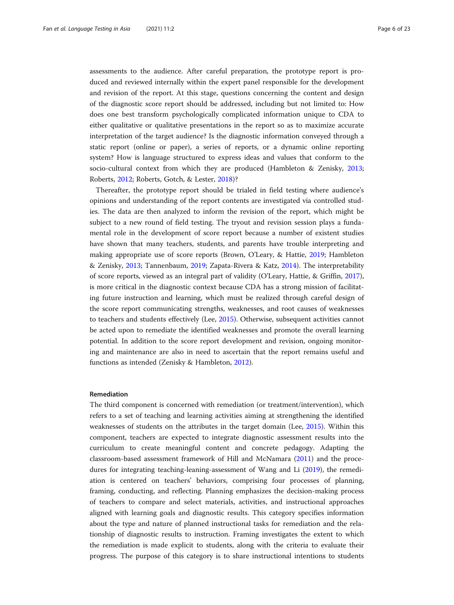assessments to the audience. After careful preparation, the prototype report is produced and reviewed internally within the expert panel responsible for the development and revision of the report. At this stage, questions concerning the content and design of the diagnostic score report should be addressed, including but not limited to: How does one best transform psychologically complicated information unique to CDA to either qualitative or qualitative presentations in the report so as to maximize accurate interpretation of the target audience? Is the diagnostic information conveyed through a static report (online or paper), a series of reports, or a dynamic online reporting system? How is language structured to express ideas and values that conform to the socio-cultural context from which they are produced (Hambleton & Zenisky, [2013](#page-21-0); Roberts, [2012;](#page-21-0) Roberts, Gotch, & Lester, [2018](#page-21-0))?

Thereafter, the prototype report should be trialed in field testing where audience's opinions and understanding of the report contents are investigated via controlled studies. The data are then analyzed to inform the revision of the report, which might be subject to a new round of field testing. The tryout and revision session plays a fundamental role in the development of score report because a number of existent studies have shown that many teachers, students, and parents have trouble interpreting and making appropriate use of score reports (Brown, O'Leary, & Hattie, [2019;](#page-21-0) Hambleton & Zenisky, [2013;](#page-21-0) Tannenbaum, [2019;](#page-22-0) Zapata-Rivera & Katz, [2014](#page-22-0)). The interpretability of score reports, viewed as an integral part of validity (O'Leary, Hattie, & Griffin, [2017](#page-21-0)), is more critical in the diagnostic context because CDA has a strong mission of facilitating future instruction and learning, which must be realized through careful design of the score report communicating strengths, weaknesses, and root causes of weaknesses to teachers and students effectively (Lee, [2015\)](#page-21-0). Otherwise, subsequent activities cannot be acted upon to remediate the identified weaknesses and promote the overall learning potential. In addition to the score report development and revision, ongoing monitoring and maintenance are also in need to ascertain that the report remains useful and functions as intended (Zenisky & Hambleton, [2012\)](#page-22-0).

# Remediation

The third component is concerned with remediation (or treatment/intervention), which refers to a set of teaching and learning activities aiming at strengthening the identified weaknesses of students on the attributes in the target domain (Lee, [2015\)](#page-21-0). Within this component, teachers are expected to integrate diagnostic assessment results into the curriculum to create meaningful content and concrete pedagogy. Adapting the classroom-based assessment framework of Hill and McNamara ([2011\)](#page-21-0) and the procedures for integrating teaching-leaning-assessment of Wang and Li [\(2019\)](#page-22-0), the remediation is centered on teachers' behaviors, comprising four processes of planning, framing, conducting, and reflecting. Planning emphasizes the decision-making process of teachers to compare and select materials, activities, and instructional approaches aligned with learning goals and diagnostic results. This category specifies information about the type and nature of planned instructional tasks for remediation and the relationship of diagnostic results to instruction. Framing investigates the extent to which the remediation is made explicit to students, along with the criteria to evaluate their progress. The purpose of this category is to share instructional intentions to students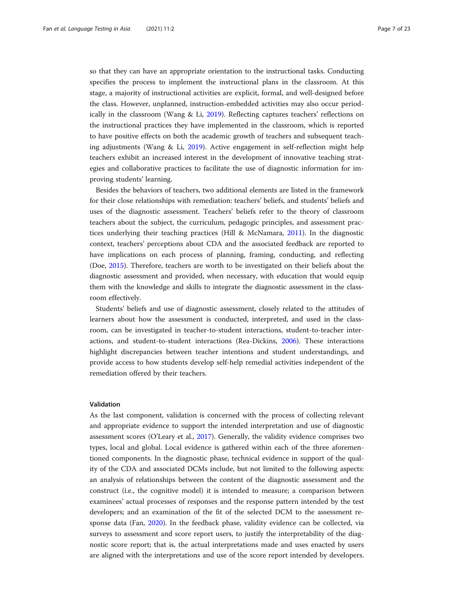so that they can have an appropriate orientation to the instructional tasks. Conducting specifies the process to implement the instructional plans in the classroom. At this stage, a majority of instructional activities are explicit, formal, and well-designed before the class. However, unplanned, instruction-embedded activities may also occur periodically in the classroom (Wang & Li, [2019\)](#page-22-0). Reflecting captures teachers' reflections on the instructional practices they have implemented in the classroom, which is reported to have positive effects on both the academic growth of teachers and subsequent teaching adjustments (Wang & Li, [2019\)](#page-22-0). Active engagement in self-reflection might help teachers exhibit an increased interest in the development of innovative teaching strategies and collaborative practices to facilitate the use of diagnostic information for improving students' learning.

Besides the behaviors of teachers, two additional elements are listed in the framework for their close relationships with remediation: teachers' beliefs, and students' beliefs and uses of the diagnostic assessment. Teachers' beliefs refer to the theory of classroom teachers about the subject, the curriculum, pedagogic principles, and assessment practices underlying their teaching practices (Hill & McNamara, [2011\)](#page-21-0). In the diagnostic context, teachers' perceptions about CDA and the associated feedback are reported to have implications on each process of planning, framing, conducting, and reflecting (Doe, [2015\)](#page-21-0). Therefore, teachers are worth to be investigated on their beliefs about the diagnostic assessment and provided, when necessary, with education that would equip them with the knowledge and skills to integrate the diagnostic assessment in the classroom effectively.

Students' beliefs and use of diagnostic assessment, closely related to the attitudes of learners about how the assessment is conducted, interpreted, and used in the classroom, can be investigated in teacher-to-student interactions, student-to-teacher interactions, and student-to-student interactions (Rea-Dickins, [2006](#page-21-0)). These interactions highlight discrepancies between teacher intentions and student understandings, and provide access to how students develop self-help remedial activities independent of the remediation offered by their teachers.

#### Validation

As the last component, validation is concerned with the process of collecting relevant and appropriate evidence to support the intended interpretation and use of diagnostic assessment scores (O'Leary et al., [2017\)](#page-21-0). Generally, the validity evidence comprises two types, local and global. Local evidence is gathered within each of the three aforementioned components. In the diagnostic phase, technical evidence in support of the quality of the CDA and associated DCMs include, but not limited to the following aspects: an analysis of relationships between the content of the diagnostic assessment and the construct (i.e., the cognitive model) it is intended to measure; a comparison between examinees' actual processes of responses and the response pattern intended by the test developers; and an examination of the fit of the selected DCM to the assessment response data (Fan, [2020\)](#page-21-0). In the feedback phase, validity evidence can be collected, via surveys to assessment and score report users, to justify the interpretability of the diagnostic score report; that is, the actual interpretations made and uses enacted by users are aligned with the interpretations and use of the score report intended by developers.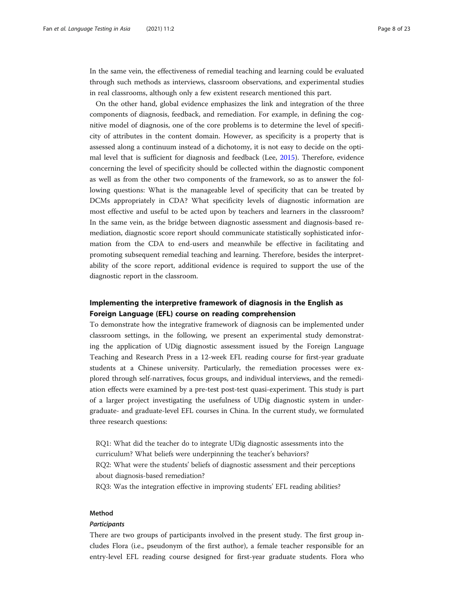In the same vein, the effectiveness of remedial teaching and learning could be evaluated through such methods as interviews, classroom observations, and experimental studies in real classrooms, although only a few existent research mentioned this part.

On the other hand, global evidence emphasizes the link and integration of the three components of diagnosis, feedback, and remediation. For example, in defining the cognitive model of diagnosis, one of the core problems is to determine the level of specificity of attributes in the content domain. However, as specificity is a property that is assessed along a continuum instead of a dichotomy, it is not easy to decide on the optimal level that is sufficient for diagnosis and feedback (Lee, [2015](#page-21-0)). Therefore, evidence concerning the level of specificity should be collected within the diagnostic component as well as from the other two components of the framework, so as to answer the following questions: What is the manageable level of specificity that can be treated by DCMs appropriately in CDA? What specificity levels of diagnostic information are most effective and useful to be acted upon by teachers and learners in the classroom? In the same vein, as the bridge between diagnostic assessment and diagnosis-based remediation, diagnostic score report should communicate statistically sophisticated information from the CDA to end-users and meanwhile be effective in facilitating and promoting subsequent remedial teaching and learning. Therefore, besides the interpretability of the score report, additional evidence is required to support the use of the diagnostic report in the classroom.

# Implementing the interpretive framework of diagnosis in the English as Foreign Language (EFL) course on reading comprehension

To demonstrate how the integrative framework of diagnosis can be implemented under classroom settings, in the following, we present an experimental study demonstrating the application of UDig diagnostic assessment issued by the Foreign Language Teaching and Research Press in a 12-week EFL reading course for first-year graduate students at a Chinese university. Particularly, the remediation processes were explored through self-narratives, focus groups, and individual interviews, and the remediation effects were examined by a pre-test post-test quasi-experiment. This study is part of a larger project investigating the usefulness of UDig diagnostic system in undergraduate- and graduate-level EFL courses in China. In the current study, we formulated three research questions:

RQ1: What did the teacher do to integrate UDig diagnostic assessments into the curriculum? What beliefs were underpinning the teacher's behaviors? RQ2: What were the students' beliefs of diagnostic assessment and their perceptions about diagnosis-based remediation?

RQ3: Was the integration effective in improving students' EFL reading abilities?

# Method

# **Participants**

There are two groups of participants involved in the present study. The first group includes Flora (i.e., pseudonym of the first author), a female teacher responsible for an entry-level EFL reading course designed for first-year graduate students. Flora who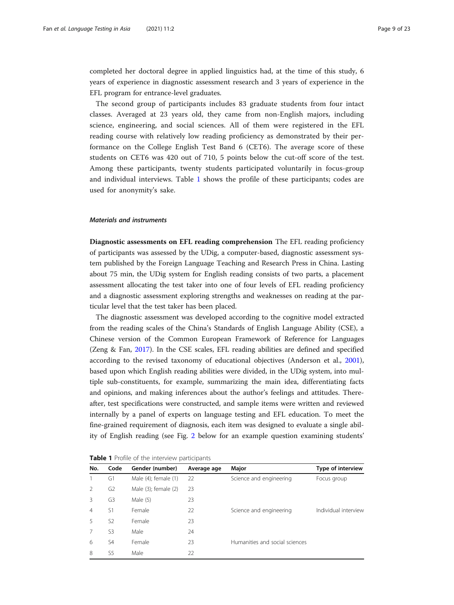completed her doctoral degree in applied linguistics had, at the time of this study, 6 years of experience in diagnostic assessment research and 3 years of experience in the EFL program for entrance-level graduates.

The second group of participants includes 83 graduate students from four intact classes. Averaged at 23 years old, they came from non-English majors, including science, engineering, and social sciences. All of them were registered in the EFL reading course with relatively low reading proficiency as demonstrated by their performance on the College English Test Band 6 (CET6). The average score of these students on CET6 was 420 out of 710, 5 points below the cut-off score of the test. Among these participants, twenty students participated voluntarily in focus-group and individual interviews. Table 1 shows the profile of these participants; codes are used for anonymity's sake.

# Materials and instruments

Diagnostic assessments on EFL reading comprehension The EFL reading proficiency of participants was assessed by the UDig, a computer-based, diagnostic assessment system published by the Foreign Language Teaching and Research Press in China. Lasting about 75 min, the UDig system for English reading consists of two parts, a placement assessment allocating the test taker into one of four levels of EFL reading proficiency and a diagnostic assessment exploring strengths and weaknesses on reading at the particular level that the test taker has been placed.

The diagnostic assessment was developed according to the cognitive model extracted from the reading scales of the China's Standards of English Language Ability (CSE), a Chinese version of the Common European Framework of Reference for Languages (Zeng & Fan, [2017](#page-22-0)). In the CSE scales, EFL reading abilities are defined and specified according to the revised taxonomy of educational objectives (Anderson et al., [2001](#page-21-0)), based upon which English reading abilities were divided, in the UDig system, into multiple sub-constituents, for example, summarizing the main idea, differentiating facts and opinions, and making inferences about the author's feelings and attitudes. Thereafter, test specifications were constructed, and sample items were written and reviewed internally by a panel of experts on language testing and EFL education. To meet the fine-grained requirement of diagnosis, each item was designed to evaluate a single ability of English reading (see Fig. [2](#page-9-0) below for an example question examining students'

| No. | Code           | Gender (number)           | Average age | Major                          | <b>Type of interview</b> |
|-----|----------------|---------------------------|-------------|--------------------------------|--------------------------|
|     | G1             | Male (4); female (1)      | 22          | Science and engineering        | Focus group              |
|     | G <sub>2</sub> | Male $(3)$ ; female $(2)$ | 23          |                                |                          |
| 3   | G3             | Male (5)                  | 23          |                                |                          |
| 4   | S1             | Female                    | 22          | Science and engineering        | Individual interview     |
| 5   | S <sub>2</sub> | Female                    | 23          |                                |                          |
|     | S3             | Male                      | 24          |                                |                          |
| 6   | S4             | Female                    | 23          | Humanities and social sciences |                          |
| 8   | S5             | Male                      | 22          |                                |                          |

Table 1 Profile of the interview participants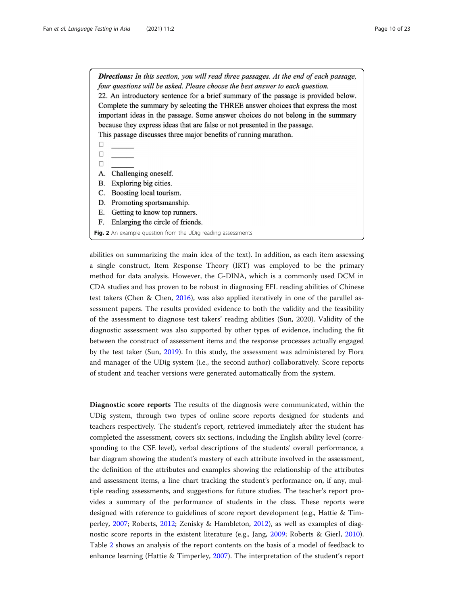<span id="page-9-0"></span>**Directions:** In this section, you will read three passages. At the end of each passage, four questions will be asked. Please choose the best answer to each question. 22. An introductory sentence for a brief summary of the passage is provided below. Complete the summary by selecting the THREE answer choices that express the most important ideas in the passage. Some answer choices do not belong in the summary because they express ideas that are false or not presented in the passage. This passage discusses three major benefits of running marathon.

- $\Box$
- $\Box$  $\Box$
- A. Challenging oneself.
- B. Exploring big cities.
- C. Boosting local tourism.
- D. Promoting sportsmanship.
- Е. Getting to know top runners.
- F. Enlarging the circle of friends.
- Fig. 2 An example question from the UDig reading assessments

abilities on summarizing the main idea of the text). In addition, as each item assessing a single construct, Item Response Theory (IRT) was employed to be the primary method for data analysis. However, the G-DINA, which is a commonly used DCM in CDA studies and has proven to be robust in diagnosing EFL reading abilities of Chinese test takers (Chen & Chen, [2016](#page-21-0)), was also applied iteratively in one of the parallel assessment papers. The results provided evidence to both the validity and the feasibility of the assessment to diagnose test takers' reading abilities (Sun, 2020). Validity of the diagnostic assessment was also supported by other types of evidence, including the fit between the construct of assessment items and the response processes actually engaged by the test taker (Sun, [2019\)](#page-22-0). In this study, the assessment was administered by Flora and manager of the UDig system (i.e., the second author) collaboratively. Score reports of student and teacher versions were generated automatically from the system.

Diagnostic score reports The results of the diagnosis were communicated, within the UDig system, through two types of online score reports designed for students and teachers respectively. The student's report, retrieved immediately after the student has completed the assessment, covers six sections, including the English ability level (corresponding to the CSE level), verbal descriptions of the students' overall performance, a bar diagram showing the student's mastery of each attribute involved in the assessment, the definition of the attributes and examples showing the relationship of the attributes and assessment items, a line chart tracking the student's performance on, if any, multiple reading assessments, and suggestions for future studies. The teacher's report provides a summary of the performance of students in the class. These reports were designed with reference to guidelines of score report development (e.g., Hattie & Timperley, [2007;](#page-21-0) Roberts, [2012;](#page-21-0) Zenisky & Hambleton, [2012](#page-22-0)), as well as examples of diagnostic score reports in the existent literature (e.g., Jang, [2009](#page-21-0); Roberts & Gierl, [2010](#page-21-0)). Table [2](#page-10-0) shows an analysis of the report contents on the basis of a model of feedback to enhance learning (Hattie & Timperley, [2007](#page-21-0)). The interpretation of the student's report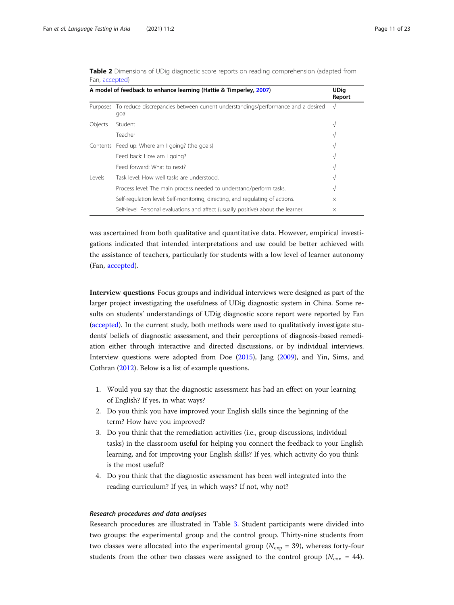| A model of feedback to enhance learning (Hattie & Timperley, 2007) |                                                                                                   |            |  |  |
|--------------------------------------------------------------------|---------------------------------------------------------------------------------------------------|------------|--|--|
|                                                                    | Purposes To reduce discrepancies between current understandings/performance and a desired<br>qoal | $\sqrt{ }$ |  |  |
| Objects                                                            | Student                                                                                           | V          |  |  |
|                                                                    | Teacher                                                                                           | V          |  |  |
|                                                                    | Contents Feed up: Where am I going? (the goals)                                                   | V          |  |  |
|                                                                    | Feed back: How am I going?                                                                        | V          |  |  |
|                                                                    | Feed forward: What to next?                                                                       | V          |  |  |
| Levels                                                             | Task level: How well tasks are understood.                                                        | V          |  |  |
|                                                                    | Process level: The main process needed to understand/perform tasks.                               | V          |  |  |
|                                                                    | Self-regulation level: Self-monitoring, directing, and regulating of actions.                     | $\times$   |  |  |
|                                                                    | Self-level: Personal evaluations and affect (usually positive) about the learner.                 | $\times$   |  |  |

<span id="page-10-0"></span>Table 2 Dimensions of UDig diagnostic score reports on reading comprehension (adapted from Fan, [accepted\)](#page-21-0)

was ascertained from both qualitative and quantitative data. However, empirical investigations indicated that intended interpretations and use could be better achieved with the assistance of teachers, particularly for students with a low level of learner autonomy (Fan, [accepted](#page-21-0)).

Interview questions Focus groups and individual interviews were designed as part of the larger project investigating the usefulness of UDig diagnostic system in China. Some results on students' understandings of UDig diagnostic score report were reported by Fan ([accepted\)](#page-21-0). In the current study, both methods were used to qualitatively investigate students' beliefs of diagnostic assessment, and their perceptions of diagnosis-based remediation either through interactive and directed discussions, or by individual interviews. Interview questions were adopted from Doe [\(2015\)](#page-21-0), Jang [\(2009](#page-21-0)), and Yin, Sims, and Cothran [\(2012\)](#page-22-0). Below is a list of example questions.

- 1. Would you say that the diagnostic assessment has had an effect on your learning of English? If yes, in what ways?
- 2. Do you think you have improved your English skills since the beginning of the term? How have you improved?
- 3. Do you think that the remediation activities (i.e., group discussions, individual tasks) in the classroom useful for helping you connect the feedback to your English learning, and for improving your English skills? If yes, which activity do you think is the most useful?
- 4. Do you think that the diagnostic assessment has been well integrated into the reading curriculum? If yes, in which ways? If not, why not?

# Research procedures and data analyses

Research procedures are illustrated in Table [3](#page-11-0). Student participants were divided into two groups: the experimental group and the control group. Thirty-nine students from two classes were allocated into the experimental group ( $N_{\rm exp}$  = 39), whereas forty-four students from the other two classes were assigned to the control group ( $N_{\text{con}} = 44$ ).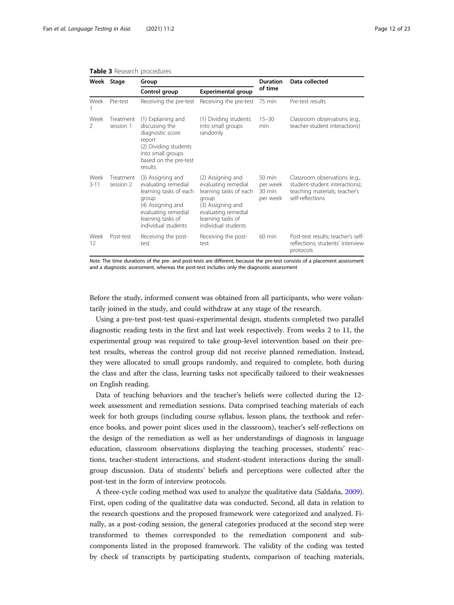|                       | Week Stage             | Group                                                                                                                                                               |                                                                                                                                                                     | <b>Duration</b>                                              | Data collected                                                                                                       |  |
|-----------------------|------------------------|---------------------------------------------------------------------------------------------------------------------------------------------------------------------|---------------------------------------------------------------------------------------------------------------------------------------------------------------------|--------------------------------------------------------------|----------------------------------------------------------------------------------------------------------------------|--|
|                       |                        | Control group                                                                                                                                                       | <b>Experimental group</b>                                                                                                                                           | of time                                                      |                                                                                                                      |  |
| Week                  | Pre-test               | Receiving the pre-test                                                                                                                                              | Receiving the pre-test                                                                                                                                              | 75 min                                                       | Pre-test results                                                                                                     |  |
| Week<br>$\mathcal{L}$ | Treatment<br>session 1 | (1) Explaining and<br>discussing the<br>diagnostic score<br>report<br>(2) Dividing students<br>into small groups<br>based on the pre-test<br>results                | (1) Dividing students<br>into small groups<br>randomly                                                                                                              | $15 - 30$<br>min                                             | Classroom observations (e.g.,<br>teacher-student interactions)                                                       |  |
| Week<br>$3 - 11$      | Treatment<br>session 2 | (3) Assigning and<br>evaluating remedial<br>learning tasks of each<br>group<br>(4) Assigning and<br>evaluating remedial<br>learning tasks of<br>individual students | (2) Assigning and<br>evaluating remedial<br>learning tasks of each<br>group<br>(3) Assigning and<br>evaluating remedial<br>learning tasks of<br>individual students | $50 \text{ min}$<br>per week<br>$30 \text{ min}$<br>per week | Classroom observations (e.g.,<br>student-student interactions);<br>teaching materials; teacher's<br>self-reflections |  |
| Week<br>12            | Post-test              | Receiving the post-<br>test                                                                                                                                         | Receiving the post-<br>test                                                                                                                                         | $60$ min                                                     | Post-test results; teacher's self-<br>reflections; students' interview<br>protocols                                  |  |

### <span id="page-11-0"></span>Table 3 Research procedures

Note. The time durations of the pre- and post-tests are different, because the pre-test consists of a placement assessment and a diagnostic assessment, whereas the post-test includes only the diagnostic assessment

Before the study, informed consent was obtained from all participants, who were voluntarily joined in the study, and could withdraw at any stage of the research.

Using a pre-test post-test quasi-experimental design, students completed two parallel diagnostic reading tests in the first and last week respectively. From weeks 2 to 11, the experimental group was required to take group-level intervention based on their pretest results, whereas the control group did not receive planned remediation. Instead, they were allocated to small groups randomly, and required to complete, both during the class and after the class, learning tasks not specifically tailored to their weaknesses on English reading.

Data of teaching behaviors and the teacher's beliefs were collected during the 12 week assessment and remediation sessions. Data comprised teaching materials of each week for both groups (including course syllabus, lesson plans, the textbook and reference books, and power point slices used in the classroom), teacher's self-reflections on the design of the remediation as well as her understandings of diagnosis in language education, classroom observations displaying the teaching processes, students' reactions, teacher-student interactions, and student-student interactions during the smallgroup discussion. Data of students' beliefs and perceptions were collected after the post-test in the form of interview protocols.

A three-cycle coding method was used to analyze the qualitative data (Saldaña, [2009](#page-21-0)). First, open coding of the qualitative data was conducted. Second, all data in relation to the research questions and the proposed framework were categorized and analyzed. Finally, as a post-coding session, the general categories produced at the second step were transformed to themes corresponded to the remediation component and subcomponents listed in the proposed framework. The validity of the coding was tested by check of transcripts by participating students, comparison of teaching materials,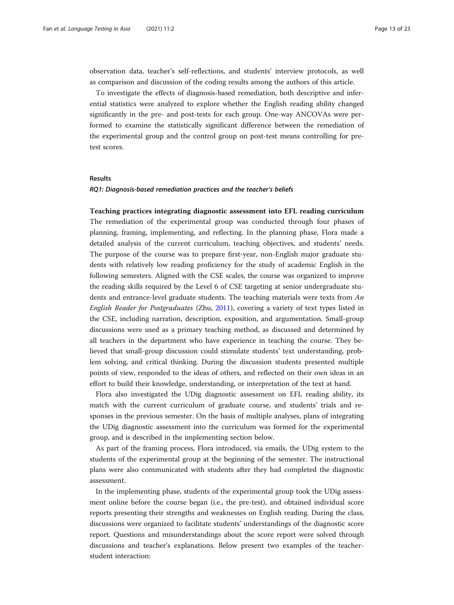observation data, teacher's self-reflections, and students' interview protocols, as well as comparison and discussion of the coding results among the authors of this article.

To investigate the effects of diagnosis-based remediation, both descriptive and inferential statistics were analyzed to explore whether the English reading ability changed significantly in the pre- and post-tests for each group. One-way ANCOVAs were performed to examine the statistically significant difference between the remediation of the experimental group and the control group on post-test means controlling for pretest scores.

### Results

# RQ1: Diagnosis-based remediation practices and the teacher's beliefs

Teaching practices integrating diagnostic assessment into EFL reading curriculum The remediation of the experimental group was conducted through four phases of planning, framing, implementing, and reflecting. In the planning phase, Flora made a detailed analysis of the current curriculum, teaching objectives, and students' needs. The purpose of the course was to prepare first-year, non-English major graduate students with relatively low reading proficiency for the study of academic English in the following semesters. Aligned with the CSE scales, the course was organized to improve the reading skills required by the Level 6 of CSE targeting at senior undergraduate students and entrance-level graduate students. The teaching materials were texts from An English Reader for Postgraduates (Zhu, [2011](#page-22-0)), covering a variety of text types listed in the CSE, including narration, description, exposition, and argumentation. Small-group discussions were used as a primary teaching method, as discussed and determined by all teachers in the department who have experience in teaching the course. They believed that small-group discussion could stimulate students' text understanding, problem solving, and critical thinking. During the discussion students presented multiple points of view, responded to the ideas of others, and reflected on their own ideas in an effort to build their knowledge, understanding, or interpretation of the text at hand.

Flora also investigated the UDig diagnostic assessment on EFL reading ability, its match with the current curriculum of graduate course, and students' trials and responses in the previous semester. On the basis of multiple analyses, plans of integrating the UDig diagnostic assessment into the curriculum was formed for the experimental group, and is described in the implementing section below.

As part of the framing process, Flora introduced, via emails, the UDig system to the students of the experimental group at the beginning of the semester. The instructional plans were also communicated with students after they had completed the diagnostic assessment.

In the implementing phase, students of the experimental group took the UDig assessment online before the course began (i.e., the pre-test), and obtained individual score reports presenting their strengths and weaknesses on English reading. During the class, discussions were organized to facilitate students' understandings of the diagnostic score report. Questions and misunderstandings about the score report were solved through discussions and teacher's explanations. Below present two examples of the teacherstudent interaction: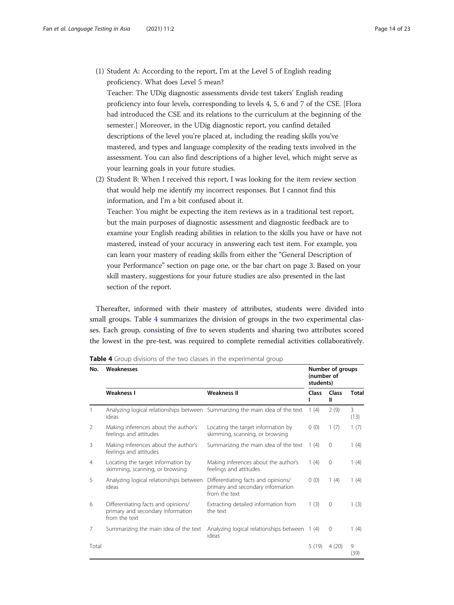(1) Student A: According to the report, I'm at the Level 5 of English reading proficiency. What does Level 5 mean?

Teacher: The UDig diagnostic assessments divide test takers' English reading proficiency into four levels, corresponding to levels 4, 5, 6 and 7 of the CSE. [Flora had introduced the CSE and its relations to the curriculum at the beginning of the semester.] Moreover, in the UDig diagnostic report, you canfind detailed descriptions of the level you're placed at, including the reading skills you've mastered, and types and language complexity of the reading texts involved in the assessment. You can also find descriptions of a higher level, which might serve as your learning goals in your future studies.

(2) Student B: When I received this report, I was looking for the item review section that would help me identify my incorrect responses. But I cannot find this information, and I'm a bit confused about it.

Teacher: You might be expecting the item reviews as in a traditional test report, but the main purposes of diagnostic assessment and diagnostic feedback are to examine your English reading abilities in relation to the skills you have or have not mastered, instead of your accuracy in answering each test item. For example, you can learn your mastery of reading skills from either the "General Description of your Performance" section on page one, or the bar chart on page 3. Based on your skill mastery, suggestions for your future studies are also presented in the last section of the report.

Thereafter, informed with their mastery of attributes, students were divided into small groups. Table 4 summarizes the division of groups in the two experimental classes. Each group, consisting of five to seven students and sharing two attributes scored the lowest in the pre-test, was required to complete remedial activities collaboratively.

| No.   | Weaknesses                                                                                | Number of groups<br>(number of<br>students)                                               |       |            |              |
|-------|-------------------------------------------------------------------------------------------|-------------------------------------------------------------------------------------------|-------|------------|--------------|
|       | <b>Weakness I</b>                                                                         | <b>Weakness II</b>                                                                        | Class | Class<br>Ш | <b>Total</b> |
|       | ideas                                                                                     | Analyzing logical relationships between Summarizing the main idea of the text             | 1(4)  | 2(9)       | 3<br>(13)    |
| 2     | Making inferences about the author's<br>feelings and attitudes                            | Locating the target information by<br>skimming, scanning, or browsing                     | 0(0)  | 1(7)       | 1(7)         |
| 3     | Making inferences about the author's<br>feelings and attitudes                            | Summarizing the main idea of the text                                                     | 1(4)  | $\circ$    | 1(4)         |
| 4     | Locating the target information by<br>skimming, scanning, or browsing                     | Making inferences about the author's<br>feelings and attitudes                            | 1(4)  | $\circ$    | 1(4)         |
| 5     | Analyzing logical relationships between<br>ideas                                          | Differentiating facts and opinions/<br>primary and secondary information<br>from the text | 0(0)  | 1(4)       | 1(4)         |
| 6     | Differentiating facts and opinions/<br>primary and secondary information<br>from the text | Extracting detailed information from<br>the text                                          | 1(3)  | $\Omega$   | 1(3)         |
| 7     | Summarizing the main idea of the text                                                     | Analyzing logical relationships between<br>ideas                                          | 1(4)  | $\Omega$   | 1(4)         |
| Total |                                                                                           |                                                                                           | 5(19) | 4(20)      | 9<br>(39)    |

Table 4 Group divisions of the two classes in the experimental group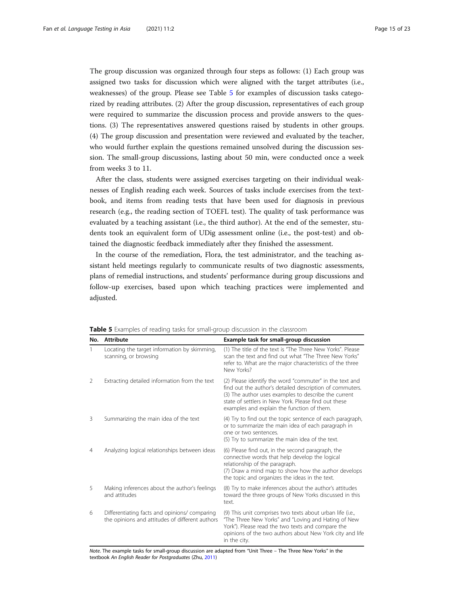The group discussion was organized through four steps as follows: (1) Each group was assigned two tasks for discussion which were aligned with the target attributes (i.e., weaknesses) of the group. Please see Table 5 for examples of discussion tasks categorized by reading attributes. (2) After the group discussion, representatives of each group were required to summarize the discussion process and provide answers to the questions. (3) The representatives answered questions raised by students in other groups. (4) The group discussion and presentation were reviewed and evaluated by the teacher, who would further explain the questions remained unsolved during the discussion session. The small-group discussions, lasting about 50 min, were conducted once a week from weeks 3 to 11.

After the class, students were assigned exercises targeting on their individual weaknesses of English reading each week. Sources of tasks include exercises from the textbook, and items from reading tests that have been used for diagnosis in previous research (e.g., the reading section of TOEFL test). The quality of task performance was evaluated by a teaching assistant (i.e., the third author). At the end of the semester, students took an equivalent form of UDig assessment online (i.e., the post-test) and obtained the diagnostic feedback immediately after they finished the assessment.

In the course of the remediation, Flora, the test administrator, and the teaching assistant held meetings regularly to communicate results of two diagnostic assessments, plans of remedial instructions, and students' performance during group discussions and follow-up exercises, based upon which teaching practices were implemented and adjusted.

| No.            | <b>Attribute</b>                                                                                 | Example task for small-group discussion                                                                                                                                                                                                                                           |
|----------------|--------------------------------------------------------------------------------------------------|-----------------------------------------------------------------------------------------------------------------------------------------------------------------------------------------------------------------------------------------------------------------------------------|
|                | Locating the target information by skimming,<br>scanning, or browsing                            | (1) The title of the text is "The Three New Yorks". Please<br>scan the text and find out what "The Three New Yorks"<br>refer to. What are the major characteristics of the three<br>New Yorks?                                                                                    |
| 2              | Extracting detailed information from the text                                                    | (2) Please identify the word "commuter" in the text and<br>find out the author's detailed description of commuters.<br>(3) The author uses examples to describe the current<br>state of settlers in New York. Please find out these<br>examples and explain the function of them. |
| 3              | Summarizing the main idea of the text                                                            | (4) Try to find out the topic sentence of each paragraph,<br>or to summarize the main idea of each paragraph in<br>one or two sentences.<br>(5) Try to summarize the main idea of the text.                                                                                       |
| $\overline{4}$ | Analyzing logical relationships between ideas                                                    | (6) Please find out, in the second paragraph, the<br>connective words that help develop the logical<br>relationship of the paragraph.<br>(7) Draw a mind map to show how the author develops<br>the topic and organizes the ideas in the text.                                    |
| 5              | Making inferences about the author's feelings<br>and attitudes                                   | (8) Try to make inferences about the author's attitudes<br>toward the three groups of New Yorks discussed in this<br>text.                                                                                                                                                        |
| 6              | Differentiating facts and opinions/ comparing<br>the opinions and attitudes of different authors | (9) This unit comprises two texts about urban life (i.e.,<br>"The Three New Yorks" and "Loving and Hating of New<br>York"). Please read the two texts and compare the<br>opinions of the two authors about New York city and life<br>in the city.                                 |

Table 5 Examples of reading tasks for small-group discussion in the classroom

Note. The example tasks for small-group discussion are adapted from "Unit Three – The Three New Yorks" in the textbook An English Reader for Postgraduates (Zhu, [2011\)](#page-22-0)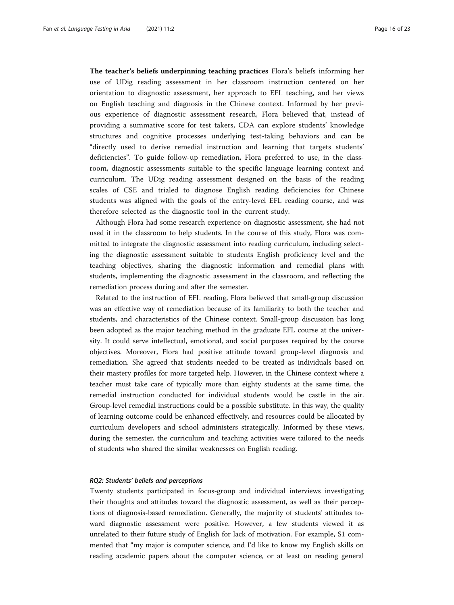The teacher's beliefs underpinning teaching practices Flora's beliefs informing her use of UDig reading assessment in her classroom instruction centered on her orientation to diagnostic assessment, her approach to EFL teaching, and her views on English teaching and diagnosis in the Chinese context. Informed by her previous experience of diagnostic assessment research, Flora believed that, instead of providing a summative score for test takers, CDA can explore students' knowledge structures and cognitive processes underlying test-taking behaviors and can be "directly used to derive remedial instruction and learning that targets students' deficiencies". To guide follow-up remediation, Flora preferred to use, in the classroom, diagnostic assessments suitable to the specific language learning context and curriculum. The UDig reading assessment designed on the basis of the reading scales of CSE and trialed to diagnose English reading deficiencies for Chinese students was aligned with the goals of the entry-level EFL reading course, and was therefore selected as the diagnostic tool in the current study.

Although Flora had some research experience on diagnostic assessment, she had not used it in the classroom to help students. In the course of this study, Flora was committed to integrate the diagnostic assessment into reading curriculum, including selecting the diagnostic assessment suitable to students English proficiency level and the teaching objectives, sharing the diagnostic information and remedial plans with students, implementing the diagnostic assessment in the classroom, and reflecting the remediation process during and after the semester.

Related to the instruction of EFL reading, Flora believed that small-group discussion was an effective way of remediation because of its familiarity to both the teacher and students, and characteristics of the Chinese context. Small-group discussion has long been adopted as the major teaching method in the graduate EFL course at the university. It could serve intellectual, emotional, and social purposes required by the course objectives. Moreover, Flora had positive attitude toward group-level diagnosis and remediation. She agreed that students needed to be treated as individuals based on their mastery profiles for more targeted help. However, in the Chinese context where a teacher must take care of typically more than eighty students at the same time, the remedial instruction conducted for individual students would be castle in the air. Group-level remedial instructions could be a possible substitute. In this way, the quality of learning outcome could be enhanced effectively, and resources could be allocated by curriculum developers and school administers strategically. Informed by these views, during the semester, the curriculum and teaching activities were tailored to the needs of students who shared the similar weaknesses on English reading.

# RQ2: Students' beliefs and perceptions

Twenty students participated in focus-group and individual interviews investigating their thoughts and attitudes toward the diagnostic assessment, as well as their perceptions of diagnosis-based remediation. Generally, the majority of students' attitudes toward diagnostic assessment were positive. However, a few students viewed it as unrelated to their future study of English for lack of motivation. For example, S1 commented that "my major is computer science, and I'd like to know my English skills on reading academic papers about the computer science, or at least on reading general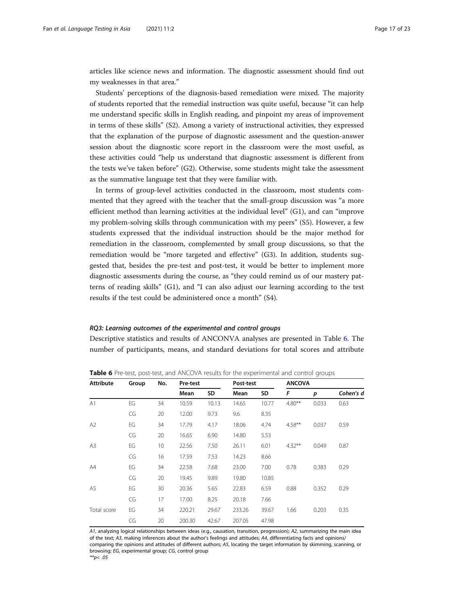articles like science news and information. The diagnostic assessment should find out my weaknesses in that area."

Students' perceptions of the diagnosis-based remediation were mixed. The majority of students reported that the remedial instruction was quite useful, because "it can help me understand specific skills in English reading, and pinpoint my areas of improvement in terms of these skills" (S2). Among a variety of instructional activities, they expressed that the explanation of the purpose of diagnostic assessment and the question-answer session about the diagnostic score report in the classroom were the most useful, as these activities could "help us understand that diagnostic assessment is different from the tests we've taken before" (G2). Otherwise, some students might take the assessment as the summative language test that they were familiar with.

In terms of group-level activities conducted in the classroom, most students commented that they agreed with the teacher that the small-group discussion was "a more efficient method than learning activities at the individual level" (G1), and can "improve my problem-solving skills through communication with my peers" (S5). However, a few students expressed that the individual instruction should be the major method for remediation in the classroom, complemented by small group discussions, so that the remediation would be "more targeted and effective" (G3). In addition, students suggested that, besides the pre-test and post-test, it would be better to implement more diagnostic assessments during the course, as "they could remind us of our mastery patterns of reading skills" (G1), and "I can also adjust our learning according to the test results if the test could be administered once a month" (S4).

# RQ3: Learning outcomes of the experimental and control groups

Descriptive statistics and results of ANCONVA analyses are presented in Table 6. The number of participants, means, and standard deviations for total scores and attribute

| <b>Attribute</b> | Group | No. | Pre-test |       | Post-test |       | <b>ANCOVA</b> |       |           |
|------------------|-------|-----|----------|-------|-----------|-------|---------------|-------|-----------|
|                  |       |     | Mean     | SD    | Mean      | SD    | F             | p     | Cohen's d |
| A1               | EG    | 34  | 10.59    | 10.13 | 14.65     | 10.77 | $4.80**$      | 0.033 | 0.63      |
|                  | CG    | 20  | 12.00    | 9.73  | 9.6       | 8.35  |               |       |           |
| A2               | EG    | 34  | 17.79    | 4.17  | 18.06     | 4.74  | $4.58***$     | 0.037 | 0.59      |
|                  | CG    | 20  | 16.65    | 6.90  | 14.80     | 5.53  |               |       |           |
| A <sub>3</sub>   | EG    | 10  | 22.56    | 7.50  | 26.11     | 6.01  | $4.32***$     | 0.049 | 0.87      |
|                  | CG    | 16  | 17.59    | 7.53  | 14.23     | 8.66  |               |       |           |
| A4               | EG    | 34  | 22.58    | 7.68  | 23.00     | 7.00  | 0.78          | 0.383 | 0.29      |
|                  | CG    | 20  | 19.45    | 9.89  | 19.80     | 10.85 |               |       |           |
| A5               | EG    | 30  | 20.36    | 5.65  | 22.83     | 6.59  | 0.88          | 0.352 | 0.29      |
|                  | CG    | 17  | 17.00    | 8.25  | 20.18     | 7.66  |               |       |           |
| Total score      | EG    | 34  | 220.21   | 29.67 | 233.26    | 39.67 | 1.66          | 0.203 | 0.35      |
|                  | CG    | 20  | 200.30   | 42.67 | 207.05    | 47.98 |               |       |           |

Table 6 Pre-test, post-test, and ANCOVA results for the experimental and control groups

A1, analyzing logical relationships between ideas (e.g., causation, transition, progression); A2, summarizing the main idea of the text; A3, making inferences about the author's feelings and attitudes; A4, differentiating facts and opinions/ comparing the opinions and attitudes of different authors; A5, locating the target information by skimming, scanning, or browsing; EG, experimental group; CG, control group \*\* $p$  < .05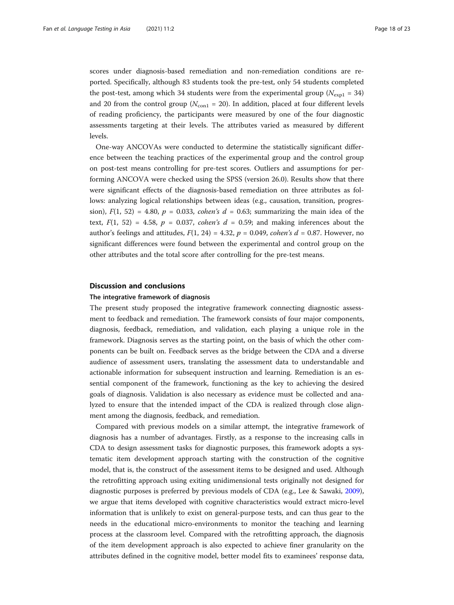scores under diagnosis-based remediation and non-remediation conditions are reported. Specifically, although 83 students took the pre-test, only 54 students completed the post-test, among which 34 students were from the experimental group ( $N_{\text{expl}} = 34$ ) and 20 from the control group ( $N_{\text{con1}} = 20$ ). In addition, placed at four different levels of reading proficiency, the participants were measured by one of the four diagnostic assessments targeting at their levels. The attributes varied as measured by different levels.

One-way ANCOVAs were conducted to determine the statistically significant difference between the teaching practices of the experimental group and the control group on post-test means controlling for pre-test scores. Outliers and assumptions for performing ANCOVA were checked using the SPSS (version 26.0). Results show that there were significant effects of the diagnosis-based remediation on three attributes as follows: analyzing logical relationships between ideas (e.g., causation, transition, progression),  $F(1, 52) = 4.80$ ,  $p = 0.033$ , cohen's  $d = 0.63$ ; summarizing the main idea of the text,  $F(1, 52) = 4.58$ ,  $p = 0.037$ , cohen's  $d = 0.59$ ; and making inferences about the author's feelings and attitudes,  $F(1, 24) = 4.32$ ,  $p = 0.049$ , cohen's  $d = 0.87$ . However, no significant differences were found between the experimental and control group on the other attributes and the total score after controlling for the pre-test means.

#### Discussion and conclusions

# The integrative framework of diagnosis

The present study proposed the integrative framework connecting diagnostic assessment to feedback and remediation. The framework consists of four major components, diagnosis, feedback, remediation, and validation, each playing a unique role in the framework. Diagnosis serves as the starting point, on the basis of which the other components can be built on. Feedback serves as the bridge between the CDA and a diverse audience of assessment users, translating the assessment data to understandable and actionable information for subsequent instruction and learning. Remediation is an essential component of the framework, functioning as the key to achieving the desired goals of diagnosis. Validation is also necessary as evidence must be collected and analyzed to ensure that the intended impact of the CDA is realized through close alignment among the diagnosis, feedback, and remediation.

Compared with previous models on a similar attempt, the integrative framework of diagnosis has a number of advantages. Firstly, as a response to the increasing calls in CDA to design assessment tasks for diagnostic purposes, this framework adopts a systematic item development approach starting with the construction of the cognitive model, that is, the construct of the assessment items to be designed and used. Although the retrofitting approach using exiting unidimensional tests originally not designed for diagnostic purposes is preferred by previous models of CDA (e.g., Lee & Sawaki, [2009](#page-21-0)), we argue that items developed with cognitive characteristics would extract micro-level information that is unlikely to exist on general-purpose tests, and can thus gear to the needs in the educational micro-environments to monitor the teaching and learning process at the classroom level. Compared with the retrofitting approach, the diagnosis of the item development approach is also expected to achieve finer granularity on the attributes defined in the cognitive model, better model fits to examinees' response data,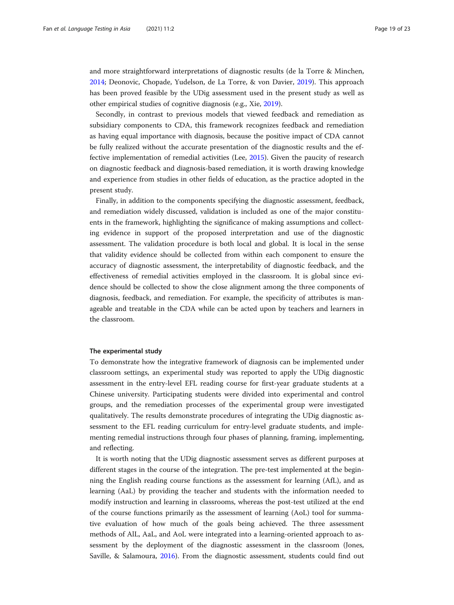and more straightforward interpretations of diagnostic results (de la Torre & Minchen, [2014](#page-21-0); Deonovic, Chopade, Yudelson, de La Torre, & von Davier, [2019](#page-21-0)). This approach has been proved feasible by the UDig assessment used in the present study as well as other empirical studies of cognitive diagnosis (e.g., Xie, [2019](#page-22-0)).

Secondly, in contrast to previous models that viewed feedback and remediation as subsidiary components to CDA, this framework recognizes feedback and remediation as having equal importance with diagnosis, because the positive impact of CDA cannot be fully realized without the accurate presentation of the diagnostic results and the effective implementation of remedial activities (Lee, [2015\)](#page-21-0). Given the paucity of research on diagnostic feedback and diagnosis-based remediation, it is worth drawing knowledge and experience from studies in other fields of education, as the practice adopted in the present study.

Finally, in addition to the components specifying the diagnostic assessment, feedback, and remediation widely discussed, validation is included as one of the major constituents in the framework, highlighting the significance of making assumptions and collecting evidence in support of the proposed interpretation and use of the diagnostic assessment. The validation procedure is both local and global. It is local in the sense that validity evidence should be collected from within each component to ensure the accuracy of diagnostic assessment, the interpretability of diagnostic feedback, and the effectiveness of remedial activities employed in the classroom. It is global since evidence should be collected to show the close alignment among the three components of diagnosis, feedback, and remediation. For example, the specificity of attributes is manageable and treatable in the CDA while can be acted upon by teachers and learners in the classroom.

# The experimental study

To demonstrate how the integrative framework of diagnosis can be implemented under classroom settings, an experimental study was reported to apply the UDig diagnostic assessment in the entry-level EFL reading course for first-year graduate students at a Chinese university. Participating students were divided into experimental and control groups, and the remediation processes of the experimental group were investigated qualitatively. The results demonstrate procedures of integrating the UDig diagnostic assessment to the EFL reading curriculum for entry-level graduate students, and implementing remedial instructions through four phases of planning, framing, implementing, and reflecting.

It is worth noting that the UDig diagnostic assessment serves as different purposes at different stages in the course of the integration. The pre-test implemented at the beginning the English reading course functions as the assessment for learning (AfL), and as learning (AaL) by providing the teacher and students with the information needed to modify instruction and learning in classrooms, whereas the post-test utilized at the end of the course functions primarily as the assessment of learning (AoL) tool for summative evaluation of how much of the goals being achieved. The three assessment methods of AlL, AaL, and AoL were integrated into a learning-oriented approach to assessment by the deployment of the diagnostic assessment in the classroom (Jones, Saville, & Salamoura, [2016\)](#page-21-0). From the diagnostic assessment, students could find out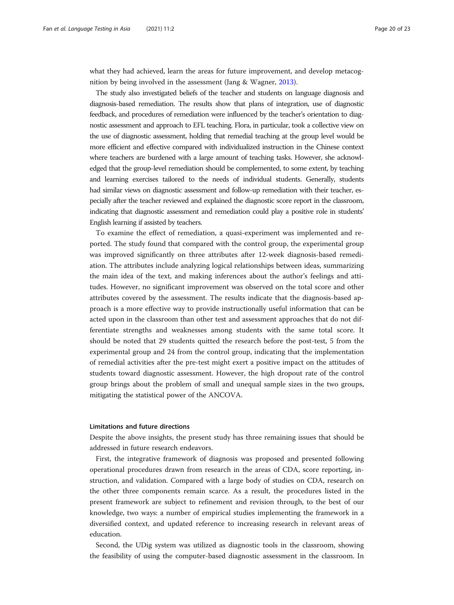what they had achieved, learn the areas for future improvement, and develop metacognition by being involved in the assessment (Jang & Wagner, [2013](#page-21-0)).

The study also investigated beliefs of the teacher and students on language diagnosis and diagnosis-based remediation. The results show that plans of integration, use of diagnostic feedback, and procedures of remediation were influenced by the teacher's orientation to diagnostic assessment and approach to EFL teaching. Flora, in particular, took a collective view on the use of diagnostic assessment, holding that remedial teaching at the group level would be more efficient and effective compared with individualized instruction in the Chinese context where teachers are burdened with a large amount of teaching tasks. However, she acknowledged that the group-level remediation should be complemented, to some extent, by teaching and learning exercises tailored to the needs of individual students. Generally, students had similar views on diagnostic assessment and follow-up remediation with their teacher, especially after the teacher reviewed and explained the diagnostic score report in the classroom, indicating that diagnostic assessment and remediation could play a positive role in students' English learning if assisted by teachers.

To examine the effect of remediation, a quasi-experiment was implemented and reported. The study found that compared with the control group, the experimental group was improved significantly on three attributes after 12-week diagnosis-based remediation. The attributes include analyzing logical relationships between ideas, summarizing the main idea of the text, and making inferences about the author's feelings and attitudes. However, no significant improvement was observed on the total score and other attributes covered by the assessment. The results indicate that the diagnosis-based approach is a more effective way to provide instructionally useful information that can be acted upon in the classroom than other test and assessment approaches that do not differentiate strengths and weaknesses among students with the same total score. It should be noted that 29 students quitted the research before the post-test, 5 from the experimental group and 24 from the control group, indicating that the implementation of remedial activities after the pre-test might exert a positive impact on the attitudes of students toward diagnostic assessment. However, the high dropout rate of the control group brings about the problem of small and unequal sample sizes in the two groups, mitigating the statistical power of the ANCOVA.

# Limitations and future directions

Despite the above insights, the present study has three remaining issues that should be addressed in future research endeavors.

First, the integrative framework of diagnosis was proposed and presented following operational procedures drawn from research in the areas of CDA, score reporting, instruction, and validation. Compared with a large body of studies on CDA, research on the other three components remain scarce. As a result, the procedures listed in the present framework are subject to refinement and revision through, to the best of our knowledge, two ways: a number of empirical studies implementing the framework in a diversified context, and updated reference to increasing research in relevant areas of education.

Second, the UDig system was utilized as diagnostic tools in the classroom, showing the feasibility of using the computer-based diagnostic assessment in the classroom. In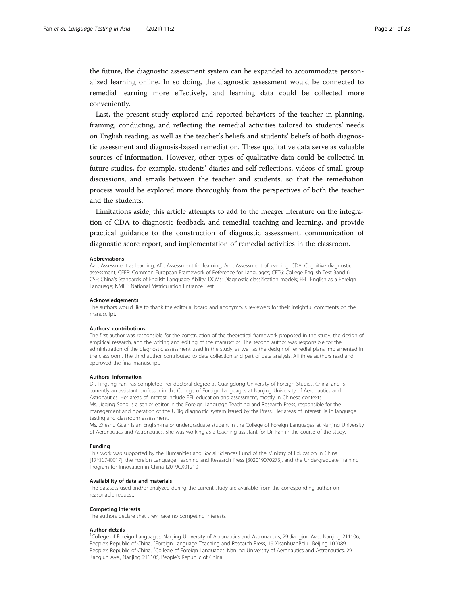the future, the diagnostic assessment system can be expanded to accommodate personalized learning online. In so doing, the diagnostic assessment would be connected to remedial learning more effectively, and learning data could be collected more conveniently.

Last, the present study explored and reported behaviors of the teacher in planning, framing, conducting, and reflecting the remedial activities tailored to students' needs on English reading, as well as the teacher's beliefs and students' beliefs of both diagnostic assessment and diagnosis-based remediation. These qualitative data serve as valuable sources of information. However, other types of qualitative data could be collected in future studies, for example, students' diaries and self-reflections, videos of small-group discussions, and emails between the teacher and students, so that the remediation process would be explored more thoroughly from the perspectives of both the teacher and the students.

Limitations aside, this article attempts to add to the meager literature on the integration of CDA to diagnostic feedback, and remedial teaching and learning, and provide practical guidance to the construction of diagnostic assessment, communication of diagnostic score report, and implementation of remedial activities in the classroom.

#### Abbreviations

AaL: Assessment as learning; AfL: Assessment for learning; AoL: Assessment of learning; CDA: Cognitive diagnostic assessment; CEFR: Common European Framework of Reference for Languages; CET6: College English Test Band 6; CSE: China's Standards of English Language Ability; DCMs: Diagnostic classification models; EFL: English as a Foreign Language; NMET: National Matriculation Entrance Test

#### Acknowledgements

The authors would like to thank the editorial board and anonymous reviewers for their insightful comments on the manuscript.

#### Authors' contributions

The first author was responsible for the construction of the theoretical framework proposed in the study, the design of empirical research, and the writing and editing of the manuscript. The second author was responsible for the administration of the diagnostic assessment used in the study, as well as the design of remedial plans implemented in the classroom. The third author contributed to data collection and part of data analysis. All three authors read and approved the final manuscript.

#### Authors' information

Dr. Tingting Fan has completed her doctoral degree at Guangdong University of Foreign Studies, China, and is currently an assistant professor in the College of Foreign Languages at Nanjing University of Aeronautics and Astronautics. Her areas of interest include EFL education and assessment, mostly in Chinese contexts. Ms. Jieqing Song is a senior editor in the Foreign Language Teaching and Research Press, responsible for the management and operation of the UDig diagnostic system issued by the Press. Her areas of interest lie in language testing and classroom assessment.

Ms. Zheshu Guan is an English-major undergraduate student in the College of Foreign Languages at Nanjing University of Aeronautics and Astronautics. She was working as a teaching assistant for Dr. Fan in the course of the study.

#### Funding

This work was supported by the Humanities and Social Sciences Fund of the Ministry of Education in China [17YJC740017], the Foreign Language Teaching and Research Press [302019070273], and the Undergraduate Training Program for Innovation in China [2019CX01210].

#### Availability of data and materials

The datasets used and/or analyzed during the current study are available from the corresponding author on reasonable request.

#### Competing interests

The authors declare that they have no competing interests.

#### Author details

<sup>1</sup>College of Foreign Languages, Nanjing University of Aeronautics and Astronautics, 29 Jiangjun Ave., Nanjing 211106, People's Republic of China. <sup>2</sup>Foreign Language Teaching and Research Press, 19 XisanhuanBeilu, Beijing 100089, People's Republic of China. <sup>3</sup>College of Foreign Languages, Nanjing University of Aeronautics and Astronautics, 29 Jiangjun Ave., Nanjing 211106, People's Republic of China.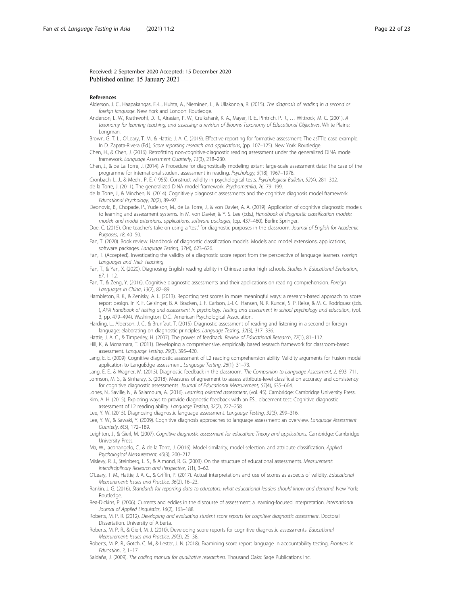### <span id="page-21-0"></span>Received: 2 September 2020 Accepted: 15 December 2020 Published online: 15 January 2021

#### References

- Alderson, J. C., Haapakangas, E.-L., Huhta, A., Nieminen, L., & Ullakonoja, R. (2015). The diagnosis of reading in a second or foreign language. New York and London: Routledge.
- Anderson, L. W., Krathwohl, D. R., Airasian, P. W., Cruikshank, K. A., Mayer, R. E., Pintrich, P. R., … Wittrock, M. C. (2001). A taxonomy for learning teaching, and assessing: a revision of Blooms Taxonomy of Educational Objectives. White Plains: Longman.
- Brown, G. T. L., O'Leary, T. M., & Hattie, J. A. C. (2019). Effective reporting for formative assessment: The asTTle case example. In D. Zapata-Rivera (Ed.), Score reporting research and applications, (pp. 107–125). New York: Routledge.
- Chen, H., & Chen, J. (2016). Retrofitting non-cognitive-diagnostic reading assessment under the generalized DINA model framework. Language Assessment Quarterly, 13(3), 218–230.

Chen, J., & de La Torre, J. (2014). A Procedure for diagnostically modeling extant large-scale assessment data: The case of the programme for international student assessment in reading. Psychology, 5(18), 1967–1978.

- Cronbach, L. J., & Meehl, P. E. (1955). Construct validity in psychological tests. Psychological Bulletin, 52(4), 281–302. de la Torre, J. (2011). The generalized DINA model framework. Psychometrika, 76, 79–199.
- de la Torre, J., & Minchen, N. (2014). Cognitively diagnostic assessments and the cognitive diagnosis model framework. Educational Psychology, 20(2), 89–97.
- Deonovic, B., Chopade, P., Yudelson, M., de La Torre, J., & von Davier, A. A. (2019). Application of cognitive diagnostic models to learning and assessment systems. In M. von Davier, & Y. S. Lee (Eds.), Handbook of diagnostic classification models: models and model extensions, applications, software packages, (pp. 437–460). Berlin: Springer.
- Doe, C. (2015). One teacher's take on using a 'test' for diagnostic purposes in the classroom. Journal of English for Academic Purposes, 18, 40–50.
- Fan, T. (2020). Book review: Handbook of diagnostic classification models: Models and model extensions, applications, software packages. Language Testing, 37(4), 623–626.
- Fan, T. (Accepted). Investigating the validity of a diagnostic score report from the perspective of language learners. Foreign Languages and Their Teaching.
- Fan, T., & Yan, X. (2020). Diagnosing English reading ability in Chinese senior high schools. Studies in Educational Evaluation, 67, 1–12.
- Fan, T., & Zeng, Y. (2016). Cognitive diagnostic assessments and their applications on reading comprehension. Foreign Languages in China, 13(2), 82–89.
- Hambleton, R. K., & Zenisky, A. L. (2013). Reporting test scores in more meaningful ways: a research-based approach to score report design. In K. F. Geisinger, B. A. Bracken, J. F. Carlson, J.-I. C. Hansen, N. R. Kuncel, S. P. Reise, & M. C. Rodriguez (Eds. ), APA handbook of testing and assessment in psychology, Testing and assessment in school psychology and education, (vol. 3, pp. 479–494). Washington, D.C.: American Psychological Association.
- Harding, L., Alderson, J. C., & Brunfaut, T. (2015). Diagnostic assessment of reading and listening in a second or foreign language: elaborating on diagnostic principles. Language Testing, 32(3), 317–336.
- Hattie, J. A. C., & Timperley, H. (2007). The power of feedback. Review of Educational Research, 77(1), 81–112.
- Hill, K., & Mcnamara, T. (2011). Developing a comprehensive, empirically based research framework for classroom-based assessment. Language Testing, 29(3), 395–420.

Jang, E. E. (2009). Cognitive diagnostic assessment of L2 reading comprehension ability: Validity arguments for Fusion model application to LanguEdge assessment. Language Testing, 26(1), 31–73.

Jang, E. E., & Wagner, M. (2013). Diagnostic feedback in the classroom. The Companion to Language Assessment, 2, 693-711. Johnson, M. S., & Sinharay, S. (2018). Measures of agreement to assess attribute-level classification accuracy and consistency for cognitive diagnostic assessments. Journal of Educational Measurement, 55(4), 635–664.

Jones, N., Saville, N., & Salamoura, A. (2016). Learning oriented assessment, (vol. 45). Cambridge: Cambridge University Press. Kim, A. H. (2015). Exploring ways to provide diagnostic feedback with an ESL placement test: Cognitive diagnostic

- assessment of L2 reading ability. Language Testing, 32(2), 227–258.
- Lee, Y. W. (2015). Diagnosing diagnostic language assessment. Language Testing, 32(3), 299–316.
- Lee, Y. W., & Sawaki, Y. (2009). Cognitive diagnosis approaches to language assessment: an overview. Language Assessment Quarterly, 6(3), 172–189.
- Leighton, J., & Gierl, M. (2007). Cognitive diagnostic assessment for education: Theory and applications. Cambridge: Cambridge University Press.
- Ma, W., Iaconangelo, C., & de la Torre, J. (2016). Model similarity, model selection, and attribute classification. Applied Psychological Measurement, 40(3), 200–217.

Mislevy, R. J., Steinberg, L. S., & Almond, R. G. (2003). On the structure of educational assessments. Measurement: Interdisciplinary Research and Perspective, 1(1), 3–62.

- O'Leary, T. M., Hattie, J. A. C., & Griffin, P. (2017). Actual interpretations and use of scores as aspects of validity. Educational Measurement: Issues and Practice, 36(2), 16–23.
- Rankin, J. G. (2016). Standards for reporting data to educators: what educational leaders should know and demand. New York: Routledge.
- Rea-Dickins, P. (2006). Currents and eddies in the discourse of assessment: a learning-focused interpretation. International Journal of Applied Linguistics, 16(2), 163–188.
- Roberts, M. P. R. (2012). Developing and evaluating student score reports for cognitive diagnostic assessment. Doctoral Dissertation. University of Alberta.
- Roberts, M. P. R., & Gierl, M. J. (2010). Developing score reports for cognitive diagnostic assessments. Educational Measurement: Issues and Practice, 29(3), 25–38.
- Roberts, M. P. R., Gotch, C. M., & Lester, J. N. (2018). Examining score report language in accountability testing. Frontiers in Education, 3, 1–17.
- Saldaña, J. (2009). The coding manual for qualitative researchers. Thousand Oaks: Sage Publications Inc.